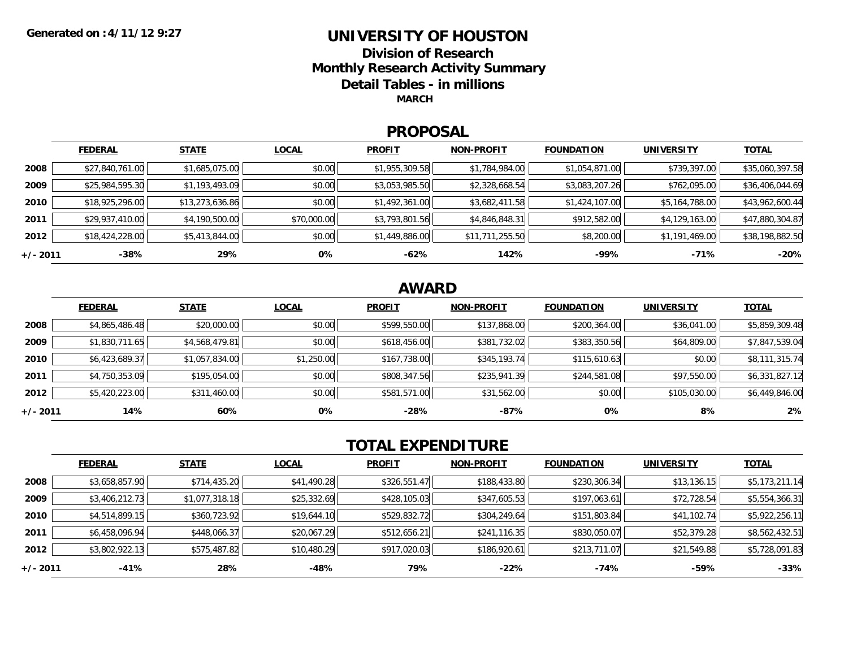# **UNIVERSITY OF HOUSTON**

**Division of ResearchMonthly Research Activity Summary Detail Tables - in millions MARCH**

#### **PROPOSAL**

|            | <b>FEDERAL</b>  | <b>STATE</b>    | <b>LOCAL</b> | <b>PROFIT</b>  | <b>NON-PROFIT</b> | <b>FOUNDATION</b> | <b>UNIVERSITY</b> | <u>TOTAL</u>    |
|------------|-----------------|-----------------|--------------|----------------|-------------------|-------------------|-------------------|-----------------|
| 2008       | \$27,840,761.00 | \$1,685,075.00  | \$0.00       | \$1,955,309.58 | \$1,784,984.00    | \$1,054,871.00    | \$739,397.00      | \$35,060,397.58 |
| 2009       | \$25,984,595.30 | \$1,193,493.09  | \$0.00       | \$3,053,985.50 | \$2,328,668.54    | \$3,083,207.26    | \$762,095.00      | \$36,406,044.69 |
| 2010       | \$18,925,296.00 | \$13,273,636.86 | \$0.00       | \$1,492,361.00 | \$3,682,411.58    | \$1,424,107.00    | \$5,164,788.00    | \$43,962,600.44 |
| 2011       | \$29,937,410.00 | \$4,190,500.00  | \$70,000.00  | \$3,793,801.56 | \$4,846,848.31    | \$912,582.00      | \$4,129,163.00    | \$47,880,304.87 |
| 2012       | \$18,424,228.00 | \$5,413,844.00  | \$0.00       | \$1,449,886.00 | \$11,711,255.50   | \$8,200.00        | \$1,191,469.00    | \$38,198,882.50 |
| $+/- 2011$ | $-38%$          | 29%             | 0%           | $-62%$         | 142%              | $-99%$            | $-71%$            | $-20%$          |

### **AWARD**

|          | <b>FEDERAL</b> | <b>STATE</b>   | <b>LOCAL</b> | <b>PROFIT</b> | <b>NON-PROFIT</b> | <b>FOUNDATION</b> | <b>UNIVERSITY</b> | <b>TOTAL</b>   |
|----------|----------------|----------------|--------------|---------------|-------------------|-------------------|-------------------|----------------|
| 2008     | \$4,865,486.48 | \$20,000.00    | \$0.00       | \$599,550.00  | \$137,868.00      | \$200,364.00      | \$36,041.00       | \$5,859,309.48 |
| 2009     | \$1,830,711.65 | \$4,568,479.81 | \$0.00       | \$618,456.00  | \$381,732.02      | \$383,350.56      | \$64,809.00       | \$7,847,539.04 |
| 2010     | \$6,423,689.37 | \$1,057,834.00 | \$1,250.00   | \$167,738.00  | \$345,193.74      | \$115,610.63      | \$0.00            | \$8,111,315.74 |
| 2011     | \$4,750,353.09 | \$195,054.00   | \$0.00       | \$808,347.56  | \$235,941.39      | \$244,581.08      | \$97,550.00       | \$6,331,827.12 |
| 2012     | \$5,420,223.00 | \$311,460.00   | \$0.00       | \$581,571.00  | \$31,562.00       | \$0.00            | \$105,030.00      | \$6,449,846.00 |
| +/- 2011 | 14%            | 60%            | 0%           | -28%          | -87%              | 0%                | 8%                | 2%             |

## **TOTAL EXPENDITURE**

|          | <b>FEDERAL</b> | <b>STATE</b>   | <b>LOCAL</b> | <b>PROFIT</b> | <b>NON-PROFIT</b> | <b>FOUNDATION</b> | UNIVERSITY  | <u>TOTAL</u>   |
|----------|----------------|----------------|--------------|---------------|-------------------|-------------------|-------------|----------------|
| 2008     | \$3,658,857.90 | \$714,435.20   | \$41,490.28  | \$326,551.47  | \$188,433.80      | \$230,306.34      | \$13,136.15 | \$5,173,211.14 |
| 2009     | \$3,406,212.73 | \$1,077,318.18 | \$25,332.69  | \$428,105.03  | \$347,605.53      | \$197,063.61      | \$72,728.54 | \$5,554,366.31 |
| 2010     | \$4,514,899.15 | \$360,723.92   | \$19,644.10  | \$529,832.72  | \$304,249.64      | \$151,803.84      | \$41,102.74 | \$5,922,256.11 |
| 2011     | \$6,458,096.94 | \$448,066.37   | \$20,067.29  | \$512,656.21  | \$241,116.35      | \$830,050.07      | \$52,379.28 | \$8,562,432.51 |
| 2012     | \$3,802,922.13 | \$575,487.82   | \$10,480.29  | \$917,020.03  | \$186,920.61      | \$213,711.07      | \$21,549.88 | \$5,728,091.83 |
| +/- 2011 | -41%           | 28%            | -48%         | 79%           | $-22%$            | -74%              | -59%        | $-33%$         |